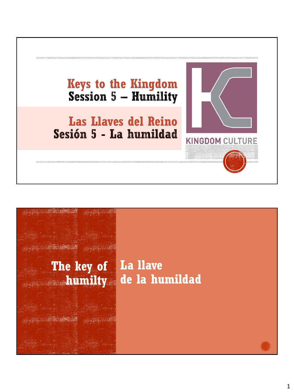

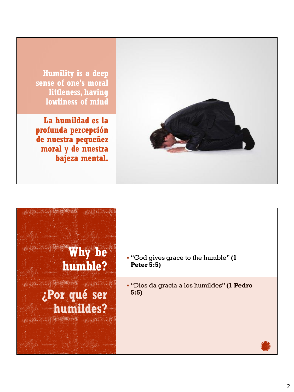

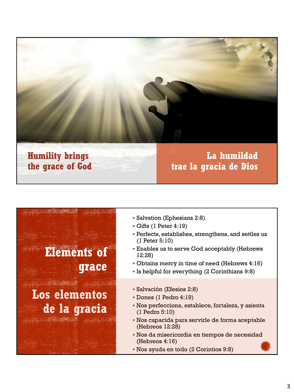

#### **Humility brings the grace of God**

#### **La humildad trae la gracia de Dios**

# **Elements of grace**

**Los elementos de la gracia**

- Salvation (Ephesians 2:8)
- Gifts (1 Peter 4:19)
- Perfects, establishes, strengthens, and settles us (1 Peter 5:10)
- Enables us to serve God acceptably (Hebrews 12:28)
- Obtains mercy in time of need (Hebrews 4:16)
- Is helpful for everything (2 Corinthians 9:8)
- Salvación (Efesios 2:8)
- Dones (1 Pedro 4:19)
- Nos perfecciona, establece, fortaleza, y asienta (1 Pedro 5:10)
- Nos capacida para servirle de forma aceptable (Hebreos 12:28)
- Nos da misericordia en tiempos de necesidad (Hebreos 4:16)
- Nos ayuda en todo (2 Corintios 9:8)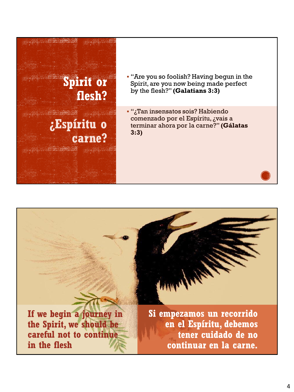

**If we begin a journey in the Spirit, we should be careful not to continue in the flesh**

**Si empezamos un recorrido en el Espíritu, debemos tener cuidado de no continuar en la carne.**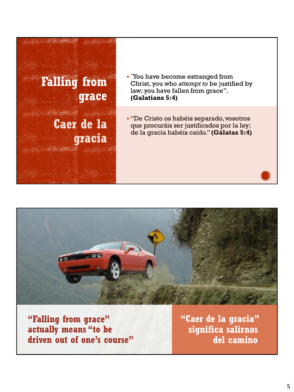



**"Falling from grace" actually means "to be driven out of one's course"** **"Caer de la gracia" significa salirnos del camino**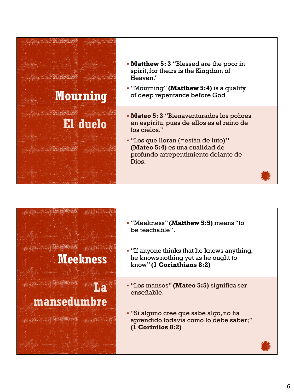

- **Matthew 5: 3** "Blessed are the poor in spirit, for theirs is the Kingdom of Heaven."
- "Mourning" **(Matthew 5:4)** is a quality of deep repentance before God
- **Mateo 5: 3** "Bienaventurados los pobres en espíritu, pues de ellos es el reino de los cielos."
- "Los que lloran (=están de luto)**" (Mateo 5:4)** es una cualidad de profundo arrepentimiento delante de Dios.



- "Meekness" **(Matthew 5:5)** means "to be teachable".
- "If anyone thinks that he knows anything, he knows nothing yet as he ought to know" **(1 Corinthians 8:2)**
- "Los mansos" **(Mateo 5:5)** significa ser enseñable.
- "Si alguno cree que sabe algo, no ha aprendido todavía como lo debe saber;" **(1 Corintios 8:2)**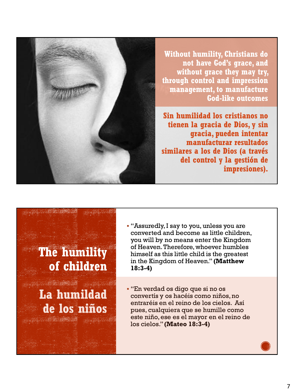

**Without humility, Christians do not have God's grace, and without grace they may try, through control and impression management, to manufacture God-like outcomes**

**Sin humilidad los cristianos no tienen la gracia de Dios, y sin gracia, pueden intentar manufacturar resultados similares a los de Dios (a través del control y la gestión de impresiones).**

## **The humility of children**

WAS TRUCK **La humildad de los niños**

▪ "Assuredly, I say to you, unless you are converted and become as little children, you will by no means enter the Kingdom of Heaven. Therefore, whoever humbles himself as this little child is the greatest in the Kingdom of Heaven." **(Matthew 18:3-4)**

▪ "En verdad os digo que si no os convertís y os hacéis como niños, no entraréis en el reino de los cielos. Así pues, cualquiera que se humille como este niño, ese es el mayor en el reino de los cielos." **(Mateo 18:3-4)**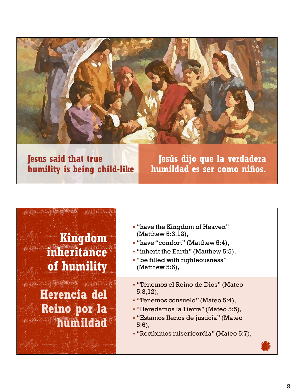

#### **Jesus said that true humility is being child-like**

**Jesús dijo que la verdadera humildad es ser como niños.**

### **Kingdom inheritance of humility**

**A GREE DAY Herencia del Reino por la humildad**

- "have the Kingdom of Heaven" (Matthew 5:3,12),
- "have "comfort" (Matthew 5:4),
- "inherit the Earth" (Matthew 5:5),
- "be filled with righteousness" (Matthew 5:6),
- "Tenemos el Reino de Dios" (Mateo 5:3,12),
- "Tenemos consuelo" (Mateo 5:4),
- "Heredamos la Tierra" (Mateo 5:5),
- "Estamos llenos de justicia" (Mateo 5:6),
- "Recibimos misericordia" (Mateo 5:7),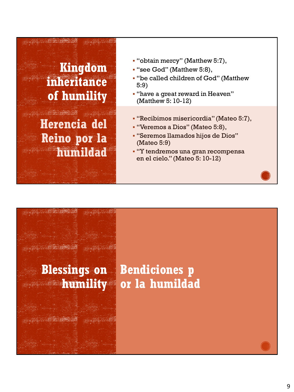## **Kingdom inheritance of humility**

**Herencia del Reino por la humildad**

- "obtain mercy" (Matthew 5:7),
- "see God" (Matthew 5:8),
- "be called children of God" (Matthew 5:9)
- "have a great reward in Heaven" (Matthew 5: 10-12)
- "Recibimos misericordia" (Mateo 5:7),
- "Veremos a Dios" (Mateo 5:8),
- "Seremos llamados hijos de Dios" (Mateo 5:9)
- "Y tendremos una gran recompensa en el cielo." (Mateo 5: 10-12)